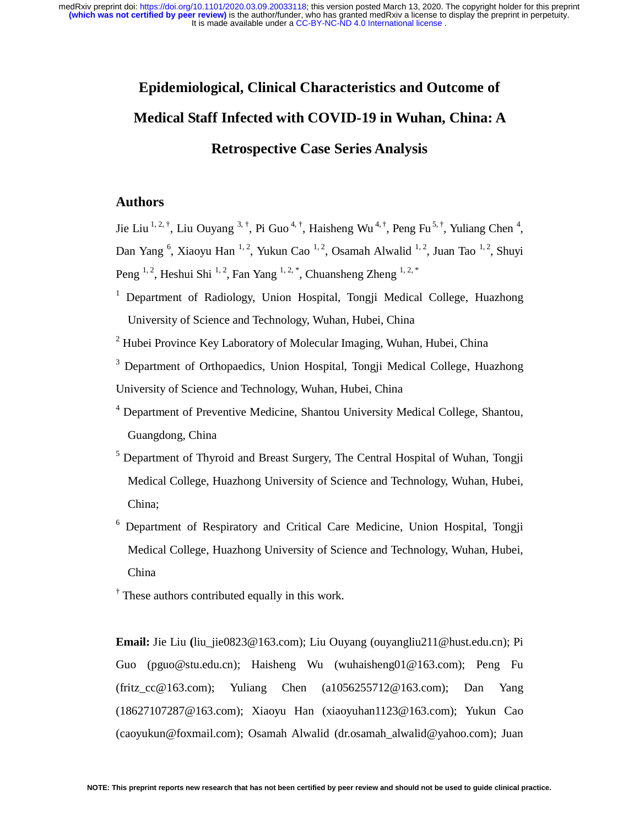# **Epidemiological, Clinical Characteristics and Outcome of Medical Staff Infected with COVID-19 in Wuhan, China: A Retrospective Case Series Analysis**

# **Authors**

Jie Liu <sup>1, 2, †</sup>, Liu Ouyang <sup>3, †</sup>, Pi Guo<sup>4, †</sup>, Haisheng Wu<sup>4, †</sup>, Peng Fu<sup>5, †</sup>, Yuliang Chen<sup>4</sup>, Dan Yang <sup>6</sup>, Xiaoyu Han <sup>1, 2</sup>, Yukun Cao <sup>1, 2</sup>, Osamah Alwalid <sup>1, 2</sup>, Juan Tao <sup>1, 2</sup>, Shuyi Peng <sup>1, 2</sup>, Heshui Shi <sup>1, 2</sup>, Fan Yang <sup>1, 2, \*</sup>, Chuansheng Zheng <sup>1, 2, \*</sup>

<sup>1</sup> Department of Radiology, Union Hospital, Tongji Medical College, Huazhong University of Science and Technology, Wuhan, Hubei, China

<sup>2</sup> Hubei Province Key Laboratory of Molecular Imaging, Wuhan, Hubei, China

<sup>3</sup> Department of Orthopaedics, Union Hospital, Tongji Medical College, Huazhong University of Science and Technology, Wuhan, Hubei, China

- <sup>4</sup> Department of Preventive Medicine, Shantou University Medical College, Shantou, Guangdong, China
- <sup>5</sup> Department of Thyroid and Breast Surgery, The Central Hospital of Wuhan, Tongji Medical College, Huazhong University of Science and Technology, Wuhan, Hubei, China;
- <sup>6</sup> Department of Respiratory and Critical Care Medicine, Union Hospital, Tongji Medical College, Huazhong University of Science and Technology, Wuhan, Hubei, China
- <sup>†</sup> These authors contributed equally in this work.

**Email:** Jie Liu **(**liu\_jie0823@163.com); Liu Ouyang (ouyangliu211@hust.edu.cn); Pi Guo (pguo@stu.edu.cn); Haisheng Wu (wuhaisheng01@163.com); Peng Fu (fritz\_cc@163.com); Yuliang Chen (a1056255712@163.com); Dan Yang (18627107287@163.com); Xiaoyu Han (xiaoyuhan1123@163.com); Yukun Cao (caoyukun@foxmail.com); Osamah Alwalid (dr.osamah\_alwalid@yahoo.com); Juan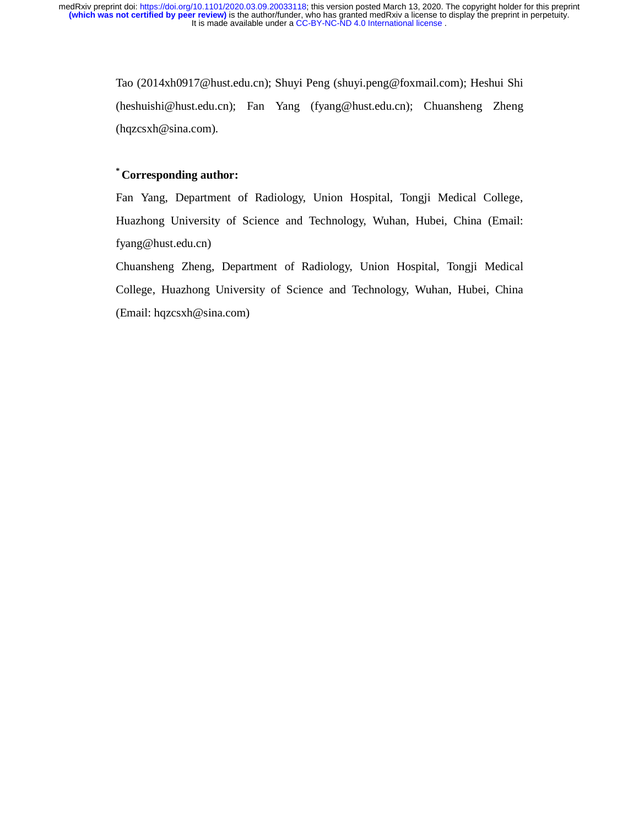> Tao (2014xh0917@hust.edu.cn); Shuyi Peng (shuyi.peng@foxmail.com); Heshui Shi (heshuishi@hust.edu.cn); Fan Yang (fyang@hust.edu.cn); Chuansheng Zheng (hqzcsxh@sina.com).

## **\* Corresponding author:**

Fan Yang, Department of Radiology, Union Hospital, Tongji Medical College, Huazhong University of Science and Technology, Wuhan, Hubei, China (Email: fyang@hust.edu.cn)

Chuansheng Zheng, Department of Radiology, Union Hospital, Tongji Medical College, Huazhong University of Science and Technology, Wuhan, Hubei, China (Email: hqzcsxh@sina.com)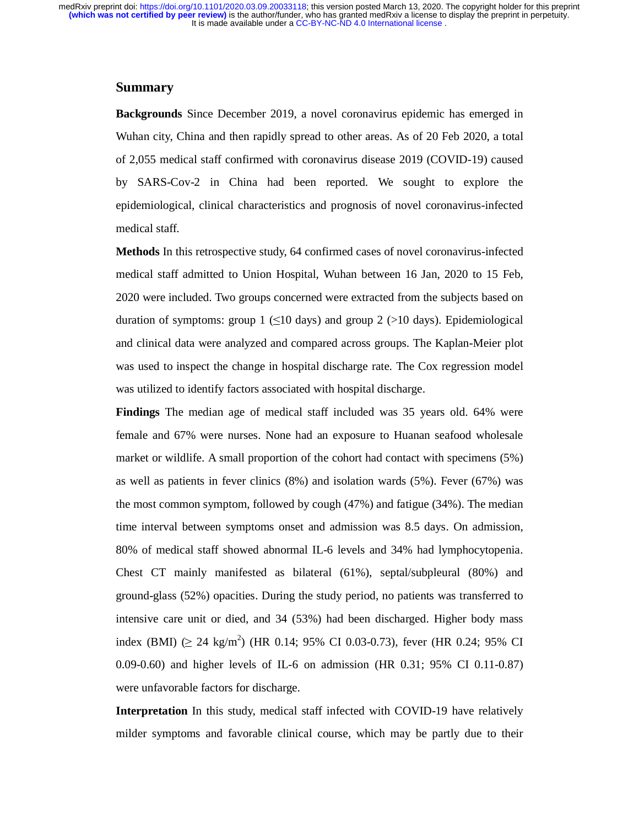#### **Summary**

**Backgrounds** Since December 2019, a novel coronavirus epidemic has emerged in Wuhan city, China and then rapidly spread to other areas. As of 20 Feb 2020, a total of 2,055 medical staff confirmed with coronavirus disease 2019 (COVID-19) caused by SARS-Cov-2 in China had been reported. We sought to explore the epidemiological, clinical characteristics and prognosis of novel coronavirus-infected medical staff.

**Methods** In this retrospective study, 64 confirmed cases of novel coronavirus-infected medical staff admitted to Union Hospital, Wuhan between 16 Jan, 2020 to 15 Feb, 2020 were included. Two groups concerned were extracted from the subjects based on duration of symptoms: group 1 ( $\leq 10$  days) and group 2 ( $> 10$  days). Epidemiological and clinical data were analyzed and compared across groups. The Kaplan-Meier plot was used to inspect the change in hospital discharge rate. The Cox regression model was utilized to identify factors associated with hospital discharge.

**Findings** The median age of medical staff included was 35 years old. 64% were female and 67% were nurses. None had an exposure to Huanan seafood wholesale market or wildlife. A small proportion of the cohort had contact with specimens (5%) as well as patients in fever clinics (8%) and isolation wards (5%). Fever (67%) was the most common symptom, followed by cough (47%) and fatigue (34%). The median time interval between symptoms onset and admission was 8.5 days. On admission, 80% of medical staff showed abnormal IL-6 levels and 34% had lymphocytopenia. Chest CT mainly manifested as bilateral (61%), septal/subpleural (80%) and ground-glass (52%) opacities. During the study period, no patients was transferred to intensive care unit or died, and 34 (53%) had been discharged. Higher body mass index (BMI) (≥ 24 kg/m<sup>2</sup>) (HR 0.14; 95% CI 0.03-0.73), fever (HR 0.24; 95% CI 0.09-0.60) and higher levels of IL-6 on admission (HR 0.31; 95% CI 0.11-0.87) were unfavorable factors for discharge.

**Interpretation** In this study, medical staff infected with COVID-19 have relatively milder symptoms and favorable clinical course, which may be partly due to their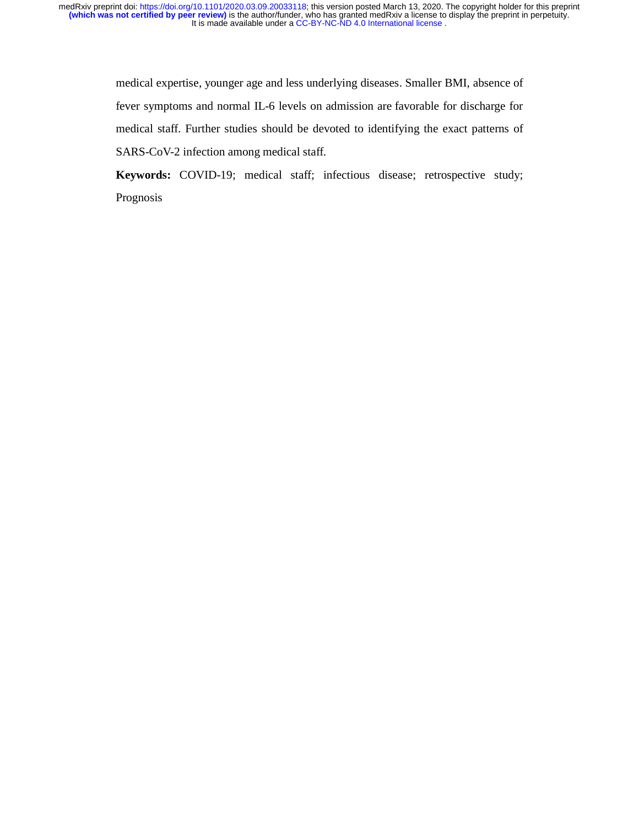> medical expertise, younger age and less underlying diseases. Smaller BMI, absence of fever symptoms and normal IL-6 levels on admission are favorable for discharge for medical staff. Further studies should be devoted to identifying the exact patterns of SARS-CoV-2 infection among medical staff.

> **Keywords:** COVID-19; medical staff; infectious disease; retrospective study; Prognosis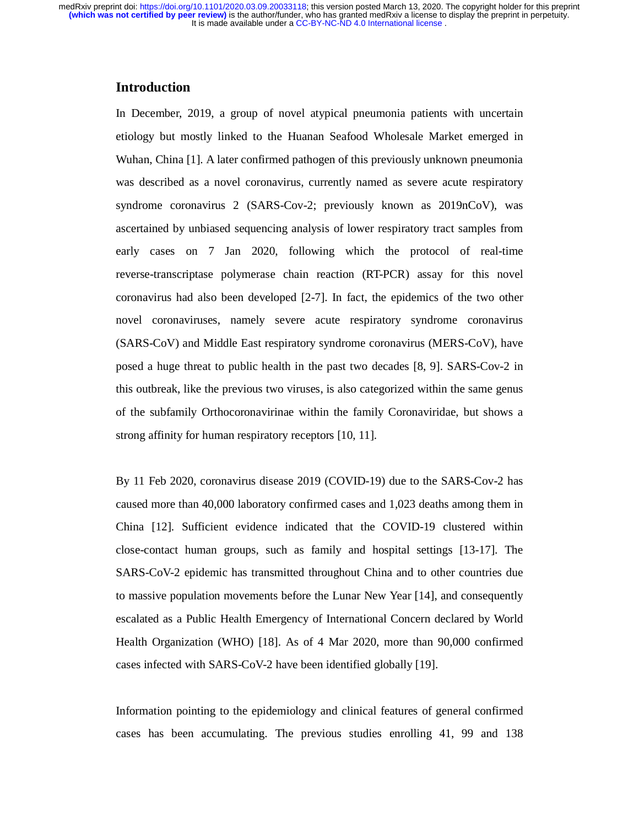## **Introduction**

In December, 2019, a group of novel atypical pneumonia patients with uncertain etiology but mostly linked to the Huanan Seafood Wholesale Market emerged in Wuhan, China [1]. A later confirmed pathogen of this previously unknown pneumonia was described as a novel coronavirus, currently named as severe acute respiratory syndrome coronavirus 2 (SARS-Cov-2; previously known as 2019nCoV), was ascertained by unbiased sequencing analysis of lower respiratory tract samples from early cases on 7 Jan 2020, following which the protocol of real-time reverse-transcriptase polymerase chain reaction (RT-PCR) assay for this novel coronavirus had also been developed [2-7]. In fact, the epidemics of the two other novel coronaviruses, namely severe acute respiratory syndrome coronavirus (SARS-CoV) and Middle East respiratory syndrome coronavirus (MERS-CoV), have posed a huge threat to public health in the past two decades [8, 9]. SARS-Cov-2 in this outbreak, like the previous two viruses, is also categorized within the same genus of the subfamily Orthocoronavirinae within the family Coronaviridae, but shows a strong affinity for human respiratory receptors [10, 11].

By 11 Feb 2020, coronavirus disease 2019 (COVID-19) due to the SARS-Cov-2 has caused more than 40,000 laboratory confirmed cases and 1,023 deaths among them in China [12]. Sufficient evidence indicated that the COVID-19 clustered within close-contact human groups, such as family and hospital settings [13-17]. The SARS-CoV-2 epidemic has transmitted throughout China and to other countries due to massive population movements before the Lunar New Year [14], and consequently escalated as a Public Health Emergency of International Concern declared by World Health Organization (WHO) [18]. As of 4 Mar 2020, more than 90,000 confirmed cases infected with SARS-CoV-2 have been identified globally [19].

Information pointing to the epidemiology and clinical features of general confirmed cases has been accumulating. The previous studies enrolling 41, 99 and 138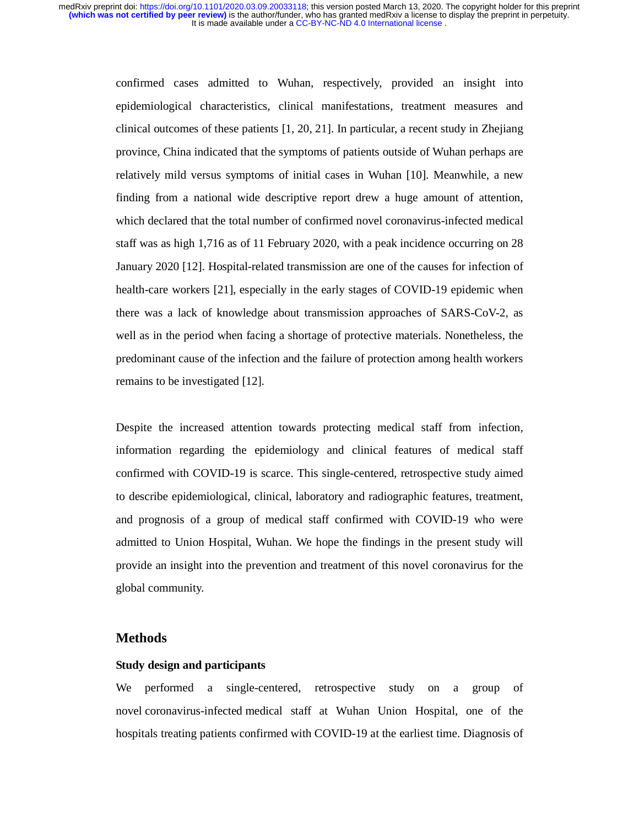> confirmed cases admitted to Wuhan, respectively, provided an insight into epidemiological characteristics, clinical manifestations, treatment measures and clinical outcomes of these patients [1, 20, 21]. In particular, a recent study in Zhejiang province, China indicated that the symptoms of patients outside of Wuhan perhaps are relatively mild versus symptoms of initial cases in Wuhan [10]. Meanwhile, a new finding from a national wide descriptive report drew a huge amount of attention, which declared that the total number of confirmed novel coronavirus-infected medical staff was as high 1,716 as of 11 February 2020, with a peak incidence occurring on 28 January 2020 [12]. Hospital-related transmission are one of the causes for infection of health-care workers [21], especially in the early stages of COVID-19 epidemic when there was a lack of knowledge about transmission approaches of SARS-CoV-2, as well as in the period when facing a shortage of protective materials. Nonetheless, the predominant cause of the infection and the failure of protection among health workers remains to be investigated [12].

> Despite the increased attention towards protecting medical staff from infection, information regarding the epidemiology and clinical features of medical staff confirmed with COVID-19 is scarce. This single-centered, retrospective study aimed to describe epidemiological, clinical, laboratory and radiographic features, treatment, and prognosis of a group of medical staff confirmed with COVID-19 who were admitted to Union Hospital, Wuhan. We hope the findings in the present study will provide an insight into the prevention and treatment of this novel coronavirus for the global community.

## **Methods**

#### **Study design and participants**

We performed a single-centered, retrospective study on a group of novel coronavirus-infected medical staff at Wuhan Union Hospital, one of the hospitals treating patients confirmed with COVID-19 at the earliest time. Diagnosis of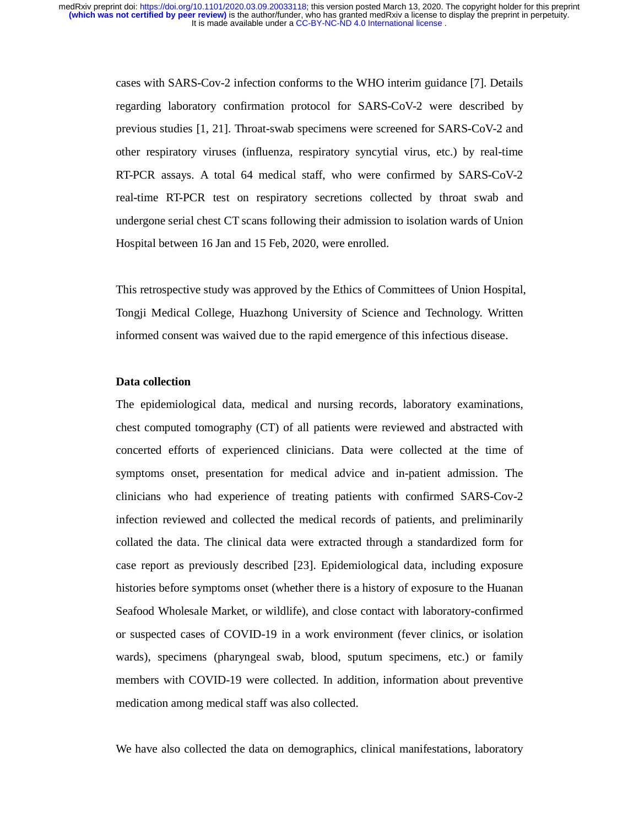> cases with SARS-Cov-2 infection conforms to the WHO interim guidance [7]. Details regarding laboratory confirmation protocol for SARS-CoV-2 were described by previous studies [1, 21]. Throat-swab specimens were screened for SARS-CoV-2 and other respiratory viruses (influenza, respiratory syncytial virus, etc.) by real-time RT-PCR assays. A total 64 medical staff, who were confirmed by SARS-CoV-2 real-time RT-PCR test on respiratory secretions collected by throat swab and undergone serial chest CT scans following their admission to isolation wards of Union Hospital between 16 Jan and 15 Feb, 2020, were enrolled.

> This retrospective study was approved by the Ethics of Committees of Union Hospital, Tongji Medical College, Huazhong University of Science and Technology. Written informed consent was waived due to the rapid emergence of this infectious disease.

#### **Data collection**

The epidemiological data, medical and nursing records, laboratory examinations, chest computed tomography (CT) of all patients were reviewed and abstracted with concerted efforts of experienced clinicians. Data were collected at the time of symptoms onset, presentation for medical advice and in-patient admission. The clinicians who had experience of treating patients with confirmed SARS-Cov-2 infection reviewed and collected the medical records of patients, and preliminarily collated the data. The clinical data were extracted through a standardized form for case report as previously described [23]. Epidemiological data, including exposure histories before symptoms onset (whether there is a history of exposure to the Huanan Seafood Wholesale Market, or wildlife), and close contact with laboratory-confirmed or suspected cases of COVID-19 in a work environment (fever clinics, or isolation wards), specimens (pharyngeal swab, blood, sputum specimens, etc.) or family members with COVID-19 were collected. In addition, information about preventive medication among medical staff was also collected.

We have also collected the data on demographics, clinical manifestations, laboratory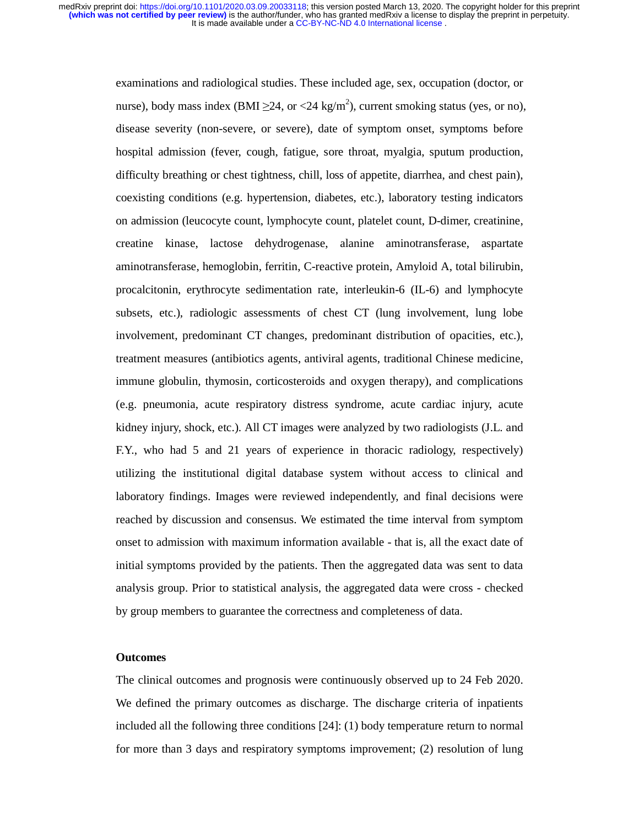> examinations and radiological studies. These included age, sex, occupation (doctor, or nurse), body mass index (BMI  $\geq$ 24, or <24 kg/m<sup>2</sup>), current smoking status (yes, or no), disease severity (non-severe, or severe), date of symptom onset, symptoms before hospital admission (fever, cough, fatigue, sore throat, myalgia, sputum production, difficulty breathing or chest tightness, chill, loss of appetite, diarrhea, and chest pain), coexisting conditions (e.g. hypertension, diabetes, etc.), laboratory testing indicators on admission (leucocyte count, lymphocyte count, platelet count, D-dimer, creatinine, creatine kinase, lactose dehydrogenase, alanine aminotransferase, aspartate aminotransferase, hemoglobin, ferritin, C-reactive protein, Amyloid A, total bilirubin, procalcitonin, erythrocyte sedimentation rate, interleukin-6 (IL-6) and lymphocyte subsets, etc.), radiologic assessments of chest CT (lung involvement, lung lobe involvement, predominant CT changes, predominant distribution of opacities, etc.), treatment measures (antibiotics agents, antiviral agents, traditional Chinese medicine, immune globulin, thymosin, corticosteroids and oxygen therapy), and complications (e.g. pneumonia, acute respiratory distress syndrome, acute cardiac injury, acute kidney injury, shock, etc.). All CT images were analyzed by two radiologists (J.L. and F.Y., who had 5 and 21 years of experience in thoracic radiology, respectively) utilizing the institutional digital database system without access to clinical and laboratory findings. Images were reviewed independently, and final decisions were reached by discussion and consensus. We estimated the time interval from symptom onset to admission with maximum information available - that is, all the exact date of initial symptoms provided by the patients. Then the aggregated data was sent to data analysis group. Prior to statistical analysis, the aggregated data were cross - checked by group members to guarantee the correctness and completeness of data.

#### **Outcomes**

The clinical outcomes and prognosis were continuously observed up to 24 Feb 2020. We defined the primary outcomes as discharge. The discharge criteria of inpatients included all the following three conditions [24]: (1) body temperature return to normal for more than 3 days and respiratory symptoms improvement; (2) resolution of lung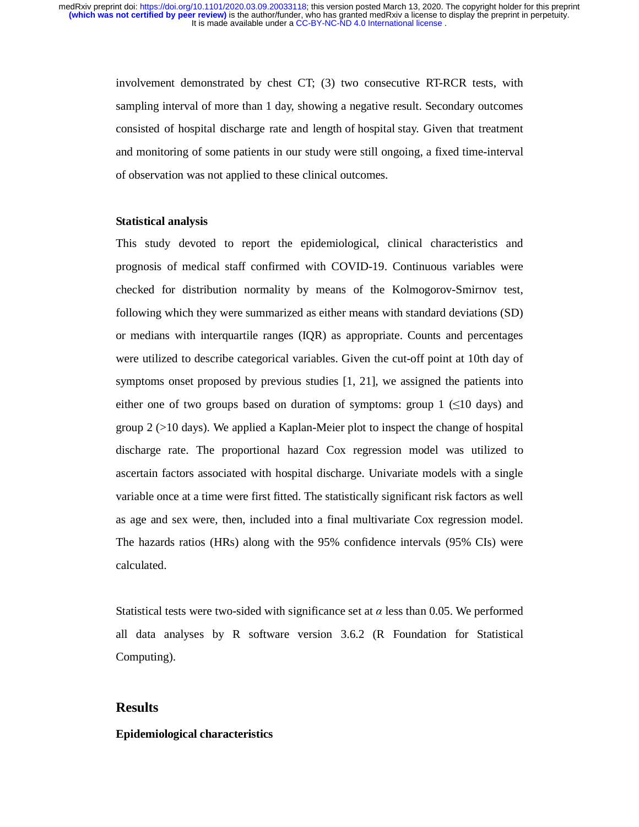involvement demonstrated by chest CT; (3) two consecutive RT-RCR tests, with sampling interval of more than 1 day, showing a negative result. Secondary outcomes consisted of hospital discharge rate and length of hospital stay. Given that treatment and monitoring of some patients in our study were still ongoing, a fixed time-interval of observation was not applied to these clinical outcomes.

#### **Statistical analysis**

This study devoted to report the epidemiological, clinical characteristics and prognosis of medical staff confirmed with COVID-19. Continuous variables were checked for distribution normality by means of the Kolmogorov-Smirnov test, following which they were summarized as either means with standard deviations (SD) or medians with interquartile ranges (IQR) as appropriate. Counts and percentages were utilized to describe categorical variables. Given the cut-off point at 10th day of symptoms onset proposed by previous studies [1, 21], we assigned the patients into either one of two groups based on duration of symptoms: group  $1 \leq 10$  days) and group 2 (>10 days). We applied a Kaplan-Meier plot to inspect the change of hospital discharge rate. The proportional hazard Cox regression model was utilized to ascertain factors associated with hospital discharge. Univariate models with a single variable once at a time were first fitted. The statistically significant risk factors as well as age and sex were, then, included into a final multivariate Cox regression model. The hazards ratios (HRs) along with the 95% confidence intervals (95% CIs) were calculated.

Statistical tests were two-sided with significance set at  $\alpha$  less than 0.05. We performed all data analyses by R software version 3.6.2 (R Foundation for Statistical Computing).

# **Results**

#### **Epidemiological characteristics**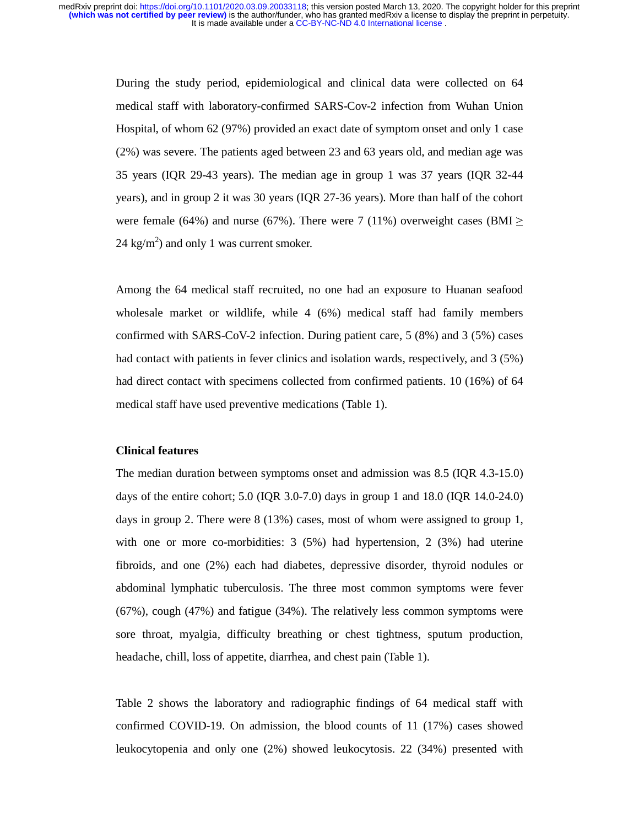During the study period, epidemiological and clinical data were collected on 64 medical staff with laboratory-confirmed SARS-Cov-2 infection from Wuhan Union Hospital, of whom 62 (97%) provided an exact date of symptom onset and only 1 case (2%) was severe. The patients aged between 23 and 63 years old, and median age was 35 years (IQR 29-43 years). The median age in group 1 was 37 years (IQR 32-44 years), and in group 2 it was 30 years (IQR 27-36 years). More than half of the cohort were female (64%) and nurse (67%). There were 7 (11%) overweight cases (BMI  $\ge$ 24 kg/m<sup>2</sup>) and only 1 was current smoker.

Among the 64 medical staff recruited, no one had an exposure to Huanan seafood wholesale market or wildlife, while 4 (6%) medical staff had family members confirmed with SARS-CoV-2 infection. During patient care, 5 (8%) and 3 (5%) cases had contact with patients in fever clinics and isolation wards, respectively, and 3 (5%) had direct contact with specimens collected from confirmed patients. 10 (16%) of 64 medical staff have used preventive medications (Table 1).

#### **Clinical features**

The median duration between symptoms onset and admission was 8.5 (IQR 4.3-15.0) days of the entire cohort; 5.0 (IQR 3.0-7.0) days in group 1 and 18.0 (IQR 14.0-24.0) days in group 2. There were 8 (13%) cases, most of whom were assigned to group 1, with one or more co-morbidities: 3 (5%) had hypertension, 2 (3%) had uterine fibroids, and one (2%) each had diabetes, depressive disorder, thyroid nodules or abdominal lymphatic tuberculosis. The three most common symptoms were fever (67%), cough (47%) and fatigue (34%). The relatively less common symptoms were sore throat, myalgia, difficulty breathing or chest tightness, sputum production, headache, chill, loss of appetite, diarrhea, and chest pain (Table 1).

Table 2 shows the laboratory and radiographic findings of 64 medical staff with confirmed COVID-19. On admission, the blood counts of 11 (17%) cases showed leukocytopenia and only one (2%) showed leukocytosis. 22 (34%) presented with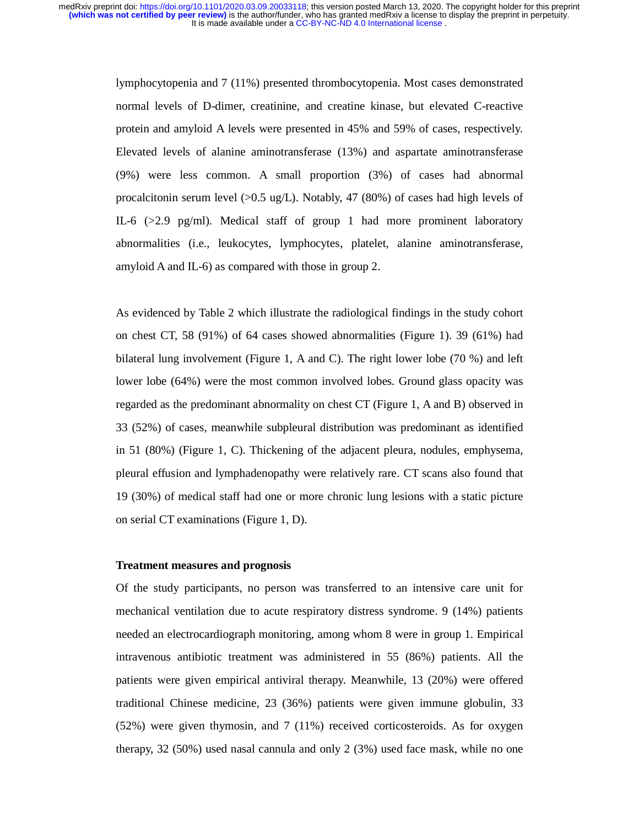> lymphocytopenia and 7 (11%) presented thrombocytopenia. Most cases demonstrated normal levels of D-dimer, creatinine, and creatine kinase, but elevated C-reactive protein and amyloid A levels were presented in 45% and 59% of cases, respectively. Elevated levels of alanine aminotransferase (13%) and aspartate aminotransferase (9%) were less common. A small proportion (3%) of cases had abnormal procalcitonin serum level  $(0.5 \text{ ug/L})$ . Notably, 47 (80%) of cases had high levels of IL-6  $(>2.9 \text{ pg/ml})$ . Medical staff of group 1 had more prominent laboratory abnormalities (i.e., leukocytes, lymphocytes, platelet, alanine aminotransferase, amyloid A and IL-6) as compared with those in group 2.

> As evidenced by Table 2 which illustrate the radiological findings in the study cohort on chest CT, 58 (91%) of 64 cases showed abnormalities (Figure 1). 39 (61%) had bilateral lung involvement (Figure 1, A and C). The right lower lobe (70 %) and left lower lobe (64%) were the most common involved lobes. Ground glass opacity was regarded as the predominant abnormality on chest CT (Figure 1, A and B) observed in 33 (52%) of cases, meanwhile subpleural distribution was predominant as identified in 51 (80%) (Figure 1, C). Thickening of the adjacent pleura, nodules, emphysema, pleural effusion and lymphadenopathy were relatively rare. CT scans also found that 19 (30%) of medical staff had one or more chronic lung lesions with a static picture on serial CT examinations (Figure 1, D).

#### **Treatment measures and prognosis**

Of the study participants, no person was transferred to an intensive care unit for mechanical ventilation due to acute respiratory distress syndrome. 9 (14%) patients needed an electrocardiograph monitoring, among whom 8 were in group 1. Empirical intravenous antibiotic treatment was administered in 55 (86%) patients. All the patients were given empirical antiviral therapy. Meanwhile, 13 (20%) were offered traditional Chinese medicine, 23 (36%) patients were given immune globulin, 33 (52%) were given thymosin, and 7 (11%) received corticosteroids. As for oxygen therapy, 32 (50%) used nasal cannula and only 2 (3%) used face mask, while no one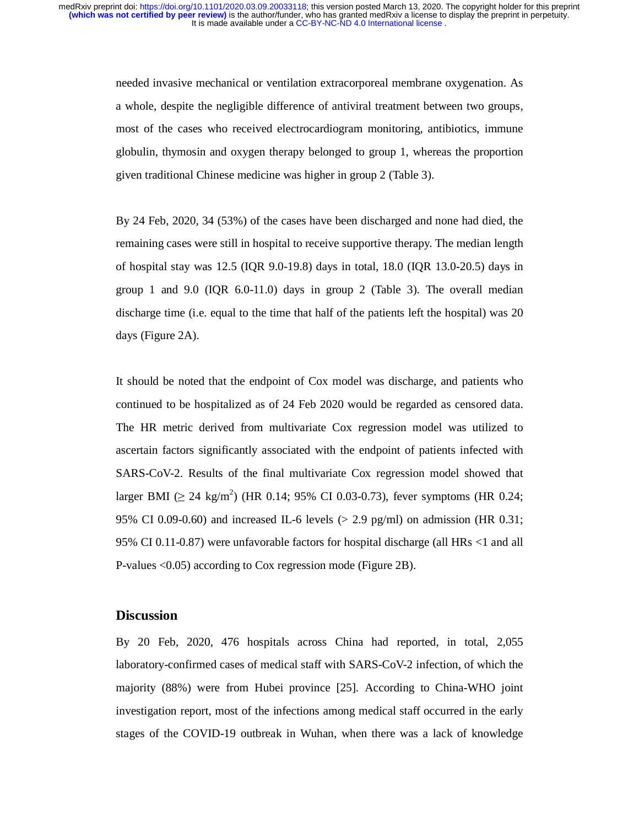needed invasive mechanical or ventilation extracorporeal membrane oxygenation. As a whole, despite the negligible difference of antiviral treatment between two groups, most of the cases who received electrocardiogram monitoring, antibiotics, immune globulin, thymosin and oxygen therapy belonged to group 1, whereas the proportion given traditional Chinese medicine was higher in group 2 (Table 3).

By 24 Feb, 2020, 34 (53%) of the cases have been discharged and none had died, the remaining cases were still in hospital to receive supportive therapy. The median length of hospital stay was 12.5 (IQR 9.0-19.8) days in total, 18.0 (IQR 13.0-20.5) days in group 1 and 9.0 (IQR  $6.0-11.0$ ) days in group 2 (Table 3). The overall median discharge time (i.e. equal to the time that half of the patients left the hospital) was 20 days (Figure 2A).

It should be noted that the endpoint of Cox model was discharge, and patients who continued to be hospitalized as of 24 Feb 2020 would be regarded as censored data. The HR metric derived from multivariate Cox regression model was utilized to ascertain factors significantly associated with the endpoint of patients infected with SARS-CoV-2. Results of the final multivariate Cox regression model showed that larger BMI  $( \geq 24 \text{ kg/m}^2)$  (HR 0.14; 95% CI 0.03-0.73), fever symptoms (HR 0.24; 95% CI 0.09-0.60) and increased IL-6 levels ( $> 2.9$  pg/ml) on admission (HR 0.31; 95% CI 0.11-0.87) were unfavorable factors for hospital discharge (all HRs <1 and all P-values <0.05) according to Cox regression mode (Figure 2B).

## **Discussion**

By 20 Feb, 2020, 476 hospitals across China had reported, in total, 2,055 laboratory-confirmed cases of medical staff with SARS-CoV-2 infection, of which the majority (88%) were from Hubei province [25]. According to China-WHO joint investigation report, most of the infections among medical staff occurred in the early stages of the COVID-19 outbreak in Wuhan, when there was a lack of knowledge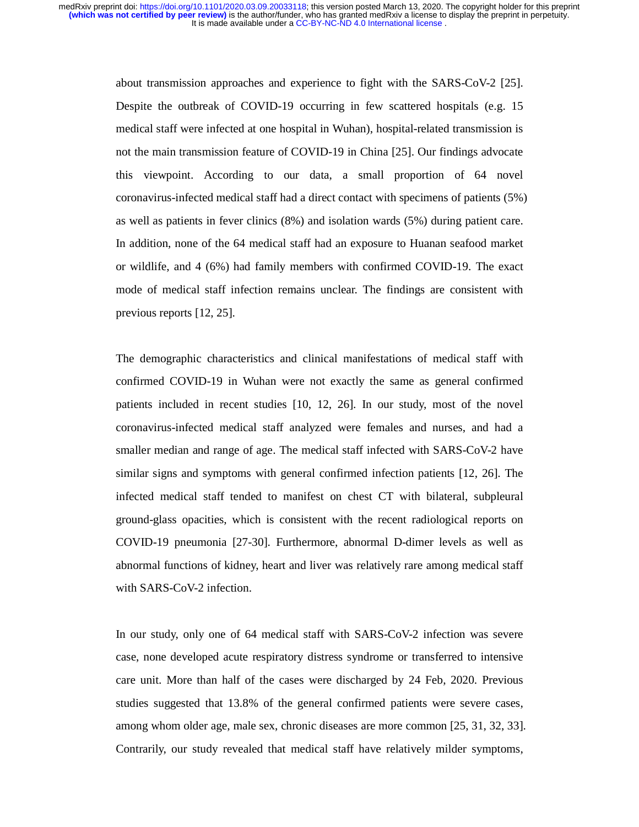> about transmission approaches and experience to fight with the SARS-CoV-2 [25]. Despite the outbreak of COVID-19 occurring in few scattered hospitals (e.g. 15 medical staff were infected at one hospital in Wuhan), hospital-related transmission is not the main transmission feature of COVID-19 in China [25]. Our findings advocate this viewpoint. According to our data, a small proportion of 64 novel coronavirus-infected medical staff had a direct contact with specimens of patients (5%) as well as patients in fever clinics (8%) and isolation wards (5%) during patient care. In addition, none of the 64 medical staff had an exposure to Huanan seafood market or wildlife, and 4 (6%) had family members with confirmed COVID-19. The exact mode of medical staff infection remains unclear. The findings are consistent with previous reports [12, 25].

> The demographic characteristics and clinical manifestations of medical staff with confirmed COVID-19 in Wuhan were not exactly the same as general confirmed patients included in recent studies [10, 12, 26]. In our study, most of the novel coronavirus-infected medical staff analyzed were females and nurses, and had a smaller median and range of age. The medical staff infected with SARS-CoV-2 have similar signs and symptoms with general confirmed infection patients [12, 26]. The infected medical staff tended to manifest on chest CT with bilateral, subpleural ground-glass opacities, which is consistent with the recent radiological reports on COVID-19 pneumonia [27-30]. Furthermore, abnormal D-dimer levels as well as abnormal functions of kidney, heart and liver was relatively rare among medical staff with SARS-CoV-2 infection.

> In our study, only one of 64 medical staff with SARS-CoV-2 infection was severe case, none developed acute respiratory distress syndrome or transferred to intensive care unit. More than half of the cases were discharged by 24 Feb, 2020. Previous studies suggested that 13.8% of the general confirmed patients were severe cases, among whom older age, male sex, chronic diseases are more common [25, 31, 32, 33]. Contrarily, our study revealed that medical staff have relatively milder symptoms,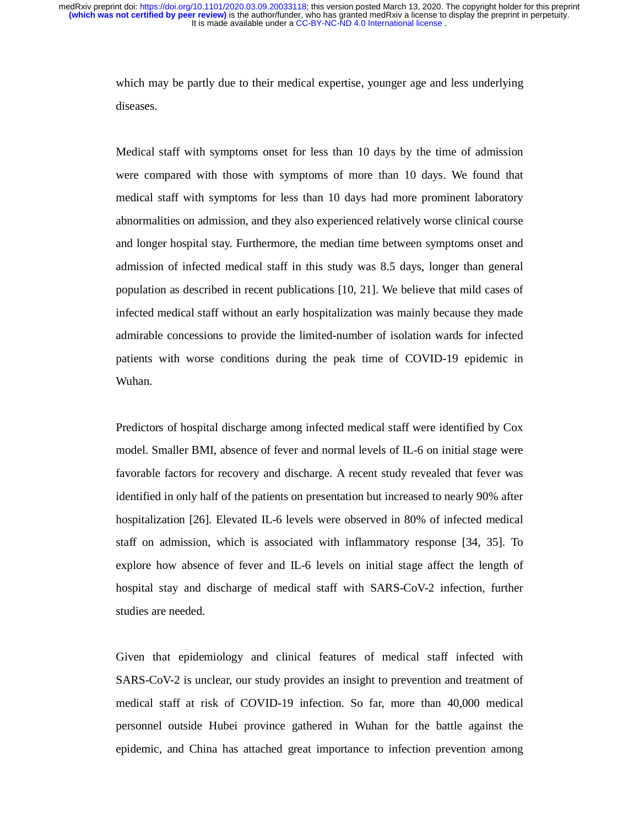> which may be partly due to their medical expertise, younger age and less underlying diseases.

> Medical staff with symptoms onset for less than 10 days by the time of admission were compared with those with symptoms of more than 10 days. We found that medical staff with symptoms for less than 10 days had more prominent laboratory abnormalities on admission, and they also experienced relatively worse clinical course and longer hospital stay. Furthermore, the median time between symptoms onset and admission of infected medical staff in this study was 8.5 days, longer than general population as described in recent publications [10, 21]. We believe that mild cases of infected medical staff without an early hospitalization was mainly because they made admirable concessions to provide the limited-number of isolation wards for infected patients with worse conditions during the peak time of COVID-19 epidemic in Wuhan.

> Predictors of hospital discharge among infected medical staff were identified by Cox model. Smaller BMI, absence of fever and normal levels of IL-6 on initial stage were favorable factors for recovery and discharge. A recent study revealed that fever was identified in only half of the patients on presentation but increased to nearly 90% after hospitalization [26]. Elevated IL-6 levels were observed in 80% of infected medical staff on admission, which is associated with inflammatory response [34, 35]. To explore how absence of fever and IL-6 levels on initial stage affect the length of hospital stay and discharge of medical staff with SARS-CoV-2 infection, further studies are needed.

> Given that epidemiology and clinical features of medical staff infected with SARS-CoV-2 is unclear, our study provides an insight to prevention and treatment of medical staff at risk of COVID-19 infection. So far, more than 40,000 medical personnel outside Hubei province gathered in Wuhan for the battle against the epidemic, and China has attached great importance to infection prevention among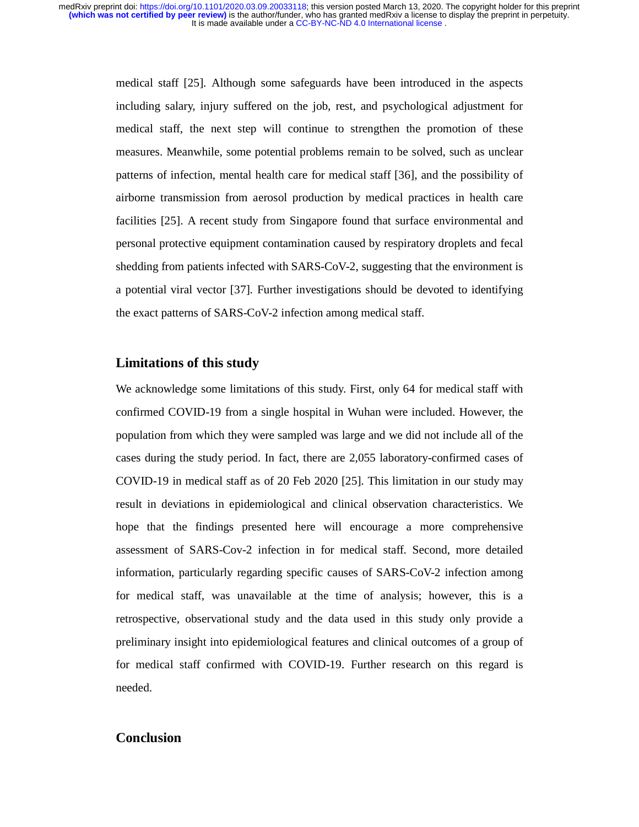> medical staff [25]. Although some safeguards have been introduced in the aspects including salary, injury suffered on the job, rest, and psychological adjustment for medical staff, the next step will continue to strengthen the promotion of these measures. Meanwhile, some potential problems remain to be solved, such as unclear patterns of infection, mental health care for medical staff [36], and the possibility of airborne transmission from aerosol production by medical practices in health care facilities [25]. A recent study from Singapore found that surface environmental and personal protective equipment contamination caused by respiratory droplets and fecal shedding from patients infected with SARS-CoV-2, suggesting that the environment is a potential viral vector [37]. Further investigations should be devoted to identifying the exact patterns of SARS-CoV-2 infection among medical staff.

#### **Limitations of this study**

We acknowledge some limitations of this study. First, only 64 for medical staff with confirmed COVID-19 from a single hospital in Wuhan were included. However, the population from which they were sampled was large and we did not include all of the cases during the study period. In fact, there are 2,055 laboratory-confirmed cases of COVID-19 in medical staff as of 20 Feb 2020 [25]. This limitation in our study may result in deviations in epidemiological and clinical observation characteristics. We hope that the findings presented here will encourage a more comprehensive assessment of SARS-Cov-2 infection in for medical staff. Second, more detailed information, particularly regarding specific causes of SARS-CoV-2 infection among for medical staff, was unavailable at the time of analysis; however, this is a retrospective, observational study and the data used in this study only provide a preliminary insight into epidemiological features and clinical outcomes of a group of for medical staff confirmed with COVID-19. Further research on this regard is needed.

## **Conclusion**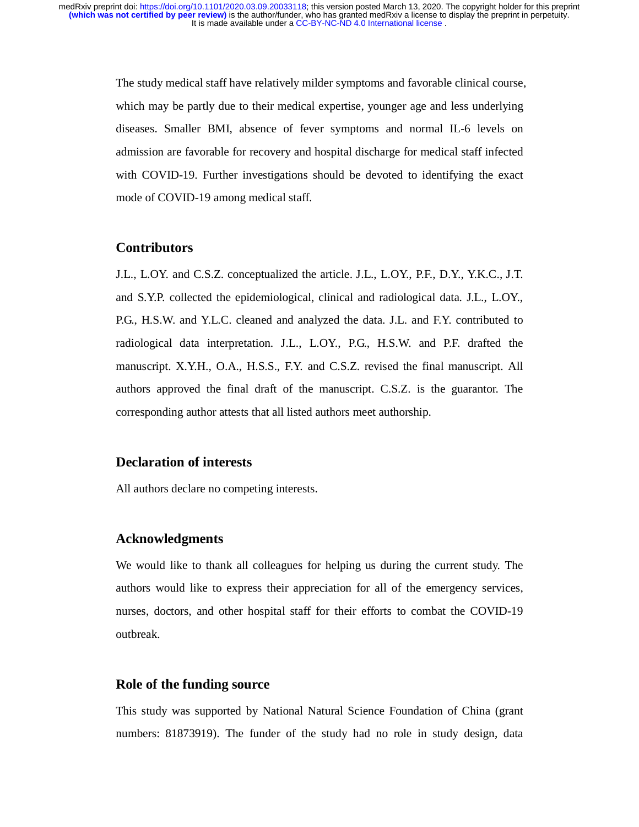The study medical staff have relatively milder symptoms and favorable clinical course, which may be partly due to their medical expertise, younger age and less underlying diseases. Smaller BMI, absence of fever symptoms and normal IL-6 levels on admission are favorable for recovery and hospital discharge for medical staff infected with COVID-19. Further investigations should be devoted to identifying the exact mode of COVID-19 among medical staff.

## **Contributors**

J.L., L.OY. and C.S.Z. conceptualized the article. J.L., L.OY., P.F., D.Y., Y.K.C., J.T. and S.Y.P. collected the epidemiological, clinical and radiological data. J.L., L.OY., P.G., H.S.W. and Y.L.C. cleaned and analyzed the data. J.L. and F.Y. contributed to radiological data interpretation. J.L., L.OY., P.G., H.S.W. and P.F. drafted the manuscript. X.Y.H., O.A., H.S.S., F.Y. and C.S.Z. revised the final manuscript. All authors approved the final draft of the manuscript. C.S.Z. is the guarantor. The corresponding author attests that all listed authors meet authorship.

#### **Declaration of interests**

All authors declare no competing interests.

## **Acknowledgments**

We would like to thank all colleagues for helping us during the current study. The authors would like to express their appreciation for all of the emergency services, nurses, doctors, and other hospital staff for their efforts to combat the COVID-19 outbreak.

## **Role of the funding source**

This study was supported by National Natural Science Foundation of China (grant numbers: 81873919). The funder of the study had no role in study design, data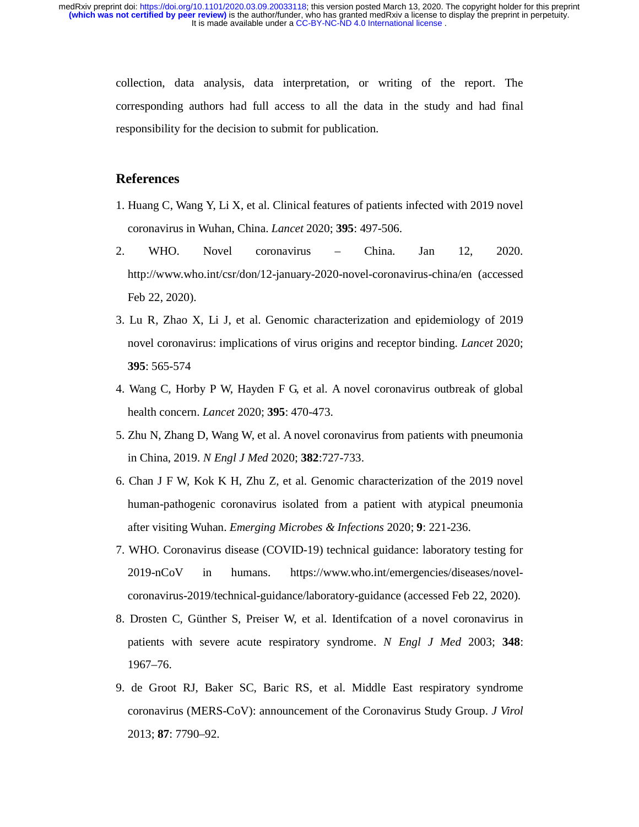> collection, data analysis, data interpretation, or writing of the report. The corresponding authors had full access to all the data in the study and had final responsibility for the decision to submit for publication.

## **References**

- 1. Huang C, Wang Y, Li X, et al. Clinical features of patients infected with 2019 novel coronavirus in Wuhan, China. *Lancet* 2020; **395**: 497-506.
- 2. WHO. Novel coronavirus China. Jan 12, 2020. http://www.who.int/csr/don/12-january-2020-novel-coronavirus-china/en (accessed Feb 22, 2020).
- 3. Lu R, Zhao X, Li J, et al. Genomic characterization and epidemiology of 2019 novel coronavirus: implications of virus origins and receptor binding. *Lancet* 2020; **395**: 565-574
- 4. Wang C, Horby P W, Hayden F G, et al. A novel coronavirus outbreak of global health concern. *Lancet* 2020; **395**: 470-473.
- 5. Zhu N, Zhang D, Wang W, et al. A novel coronavirus from patients with pneumonia in China, 2019. *N Engl J Med* 2020; **382**:727-733.
- 6. Chan J F W, Kok K H, Zhu Z, et al. Genomic characterization of the 2019 novel human-pathogenic coronavirus isolated from a patient with atypical pneumonia after visiting Wuhan. *Emerging Microbes & Infections* 2020; **9**: 221-236.
- 7. WHO. Coronavirus disease (COVID-19) technical guidance: laboratory testing for 2019-nCoV in humans. https://www.who.int/emergencies/diseases/novelcoronavirus-2019/technical-guidance/laboratory-guidance (accessed Feb 22, 2020).
- 8. Drosten C, Günther S, Preiser W, et al. Identifcation of a novel coronavirus in patients with severe acute respiratory syndrome. *N Engl J Med* 2003; **348**: 1967–76.
- 9. de Groot RJ, Baker SC, Baric RS, et al. Middle East respiratory syndrome coronavirus (MERS-CoV): announcement of the Coronavirus Study Group. *J Virol* 2013; **87**: 7790–92.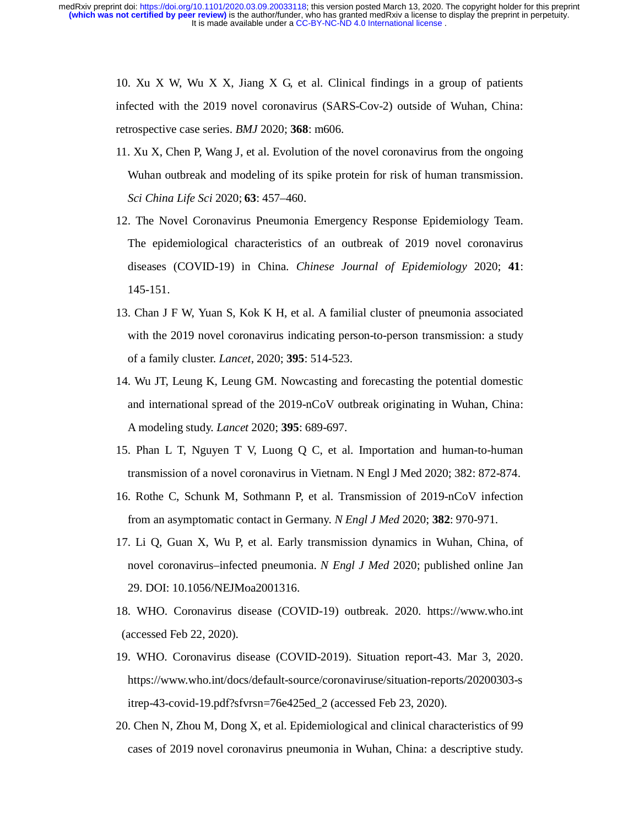> 10. Xu X W, Wu X X, Jiang X G, et al. Clinical findings in a group of patients infected with the 2019 novel coronavirus (SARS-Cov-2) outside of Wuhan, China: retrospective case series. *BMJ* 2020; **368**: m606.

- 11. Xu X, Chen P, Wang J, et al. Evolution of the novel coronavirus from the ongoing Wuhan outbreak and modeling of its spike protein for risk of human transmission. *Sci China Life Sci* 2020; **63**: 457–460.
- 12. The Novel Coronavirus Pneumonia Emergency Response Epidemiology Team. The epidemiological characteristics of an outbreak of 2019 novel coronavirus diseases (COVID-19) in China. *Chinese Journal of Epidemiology* 2020; **41**: 145-151.
- 13. Chan J F W, Yuan S, Kok K H, et al. A familial cluster of pneumonia associated with the 2019 novel coronavirus indicating person-to-person transmission: a study of a family cluster. *Lancet*, 2020; **395**: 514-523.
- 14. Wu JT, Leung K, Leung GM. Nowcasting and forecasting the potential domestic and international spread of the 2019-nCoV outbreak originating in Wuhan, China: A modeling study. *Lancet* 2020; **395**: 689-697.
- 15. Phan L T, Nguyen T V, Luong Q C, et al. Importation and human-to-human transmission of a novel coronavirus in Vietnam. N Engl J Med 2020; 382: 872-874.
- 16. Rothe C, Schunk M, Sothmann P, et al. Transmission of 2019-nCoV infection from an asymptomatic contact in Germany. *N Engl J Med* 2020; **382**: 970-971.
- 17. Li Q, Guan X, Wu P, et al. Early transmission dynamics in Wuhan, China, of novel coronavirus–infected pneumonia. *N Engl J Med* 2020; published online Jan 29. DOI: 10.1056/NEJMoa2001316.
- 18. WHO. Coronavirus disease (COVID-19) outbreak. 2020. https://www.who.int (accessed Feb 22, 2020).
- 19. WHO. Coronavirus disease (COVID-2019). Situation report-43. Mar 3, 2020. https://www.who.int/docs/default-source/coronaviruse/situation-reports/20200303-s itrep-43-covid-19.pdf?sfvrsn=76e425ed\_2 (accessed Feb 23, 2020).
- 20. Chen N, Zhou M, Dong X, et al. Epidemiological and clinical characteristics of 99 cases of 2019 novel coronavirus pneumonia in Wuhan, China: a descriptive study.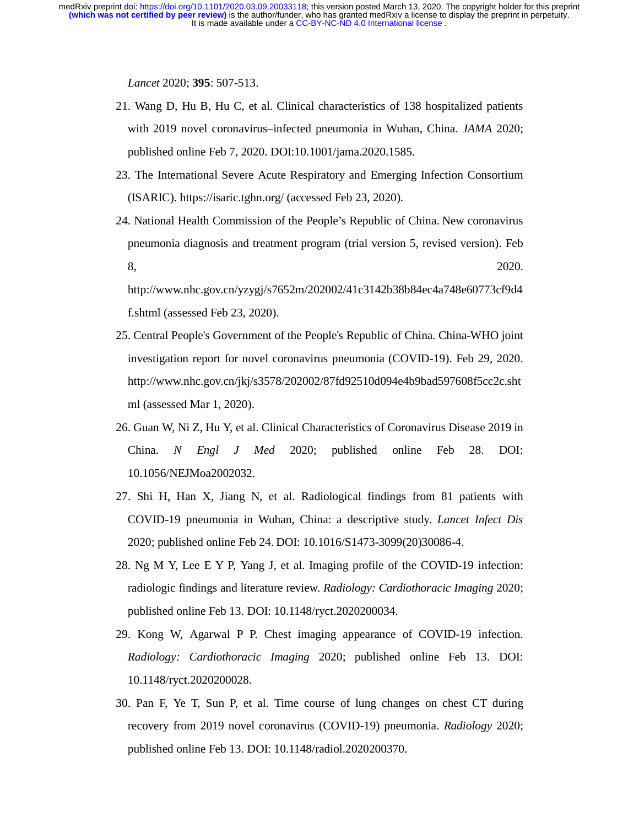*Lancet* 2020; **395**: 507-513.

- 21. Wang D, Hu B, Hu C, et al. Clinical characteristics of 138 hospitalized patients with 2019 novel coronavirus–infected pneumonia in Wuhan, China. *JAMA* 2020; published online Feb 7, 2020. DOI:10.1001/jama.2020.1585.
- 23. The International Severe Acute Respiratory and Emerging Infection Consortium (ISARIC). https://isaric.tghn.org/ (accessed Feb 23, 2020).
- 24. National Health Commission of the People's Republic of China. New coronavirus pneumonia diagnosis and treatment program (trial version 5, revised version). Feb 8, 2020.

http://www.nhc.gov.cn/yzygj/s7652m/202002/41c3142b38b84ec4a748e60773cf9d4 f.shtml (assessed Feb 23, 2020).

- 25. Central People's Government of the People's Republic of China. China-WHO joint investigation report for novel coronavirus pneumonia (COVID-19). Feb 29, 2020. http://www.nhc.gov.cn/jkj/s3578/202002/87fd92510d094e4b9bad597608f5cc2c.sht ml (assessed Mar 1, 2020).
- 26. Guan W, Ni Z, Hu Y, et al. Clinical Characteristics of Coronavirus Disease 2019 in China. *N Engl J Med* 2020; published online Feb 28. DOI: 10.1056/NEJMoa2002032.
- 27. Shi H, Han X, Jiang N, et al. Radiological findings from 81 patients with COVID-19 pneumonia in Wuhan, China: a descriptive study. *Lancet Infect Dis* 2020; published online Feb 24. DOI: 10.1016/S1473-3099(20)30086-4.
- 28. Ng M Y, Lee E Y P, Yang J, et al. Imaging profile of the COVID-19 infection: radiologic findings and literature review. *Radiology: Cardiothoracic Imaging* 2020; published online Feb 13. DOI: 10.1148/ryct.2020200034.
- 29. Kong W, Agarwal P P. Chest imaging appearance of COVID-19 infection. *Radiology: Cardiothoracic Imaging* 2020; published online Feb 13. DOI: 10.1148/ryct.2020200028.
- 30. Pan F, Ye T, Sun P, et al. Time course of lung changes on chest CT during recovery from 2019 novel coronavirus (COVID-19) pneumonia. *Radiology* 2020; published online Feb 13. DOI: 10.1148/radiol.2020200370.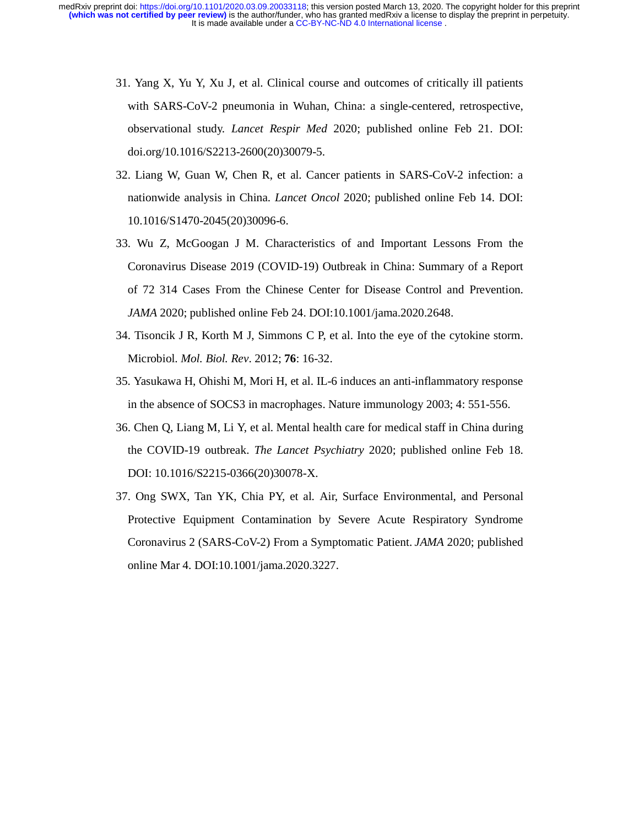- 31. Yang X, Yu Y, Xu J, et al. Clinical course and outcomes of critically ill patients with SARS-CoV-2 pneumonia in Wuhan, China: a single-centered, retrospective, observational study. *Lancet Respir Med* 2020; published online Feb 21. DOI: doi.org/10.1016/S2213-2600(20)30079-5.
- 32. Liang W, Guan W, Chen R, et al. Cancer patients in SARS-CoV-2 infection: a nationwide analysis in China. *Lancet Oncol* 2020; published online Feb 14. DOI: 10.1016/S1470-2045(20)30096-6.
- 33. Wu Z, McGoogan J M. Characteristics of and Important Lessons From the Coronavirus Disease 2019 (COVID-19) Outbreak in China: Summary of a Report of 72 314 Cases From the Chinese Center for Disease Control and Prevention. *JAMA* 2020; published online Feb 24. DOI:10.1001/jama.2020.2648.
- 34. Tisoncik J R, Korth M J, Simmons C P, et al. Into the eye of the cytokine storm. Microbiol. *Mol. Biol. Rev*. 2012; **76**: 16-32.
- 35. Yasukawa H, Ohishi M, Mori H, et al. IL-6 induces an anti-inflammatory response in the absence of SOCS3 in macrophages. Nature immunology 2003; 4: 551-556.
- 36. Chen Q, Liang M, Li Y, et al. Mental health care for medical staff in China during the COVID-19 outbreak. *The Lancet Psychiatry* 2020; published online Feb 18. DOI: 10.1016/S2215-0366(20)30078-X.
- 37. Ong SWX, Tan YK, Chia PY, et al. Air, Surface Environmental, and Personal Protective Equipment Contamination by Severe Acute Respiratory Syndrome Coronavirus 2 (SARS-CoV-2) From a Symptomatic Patient. *JAMA* 2020; published online Mar 4. DOI:10.1001/jama.2020.3227.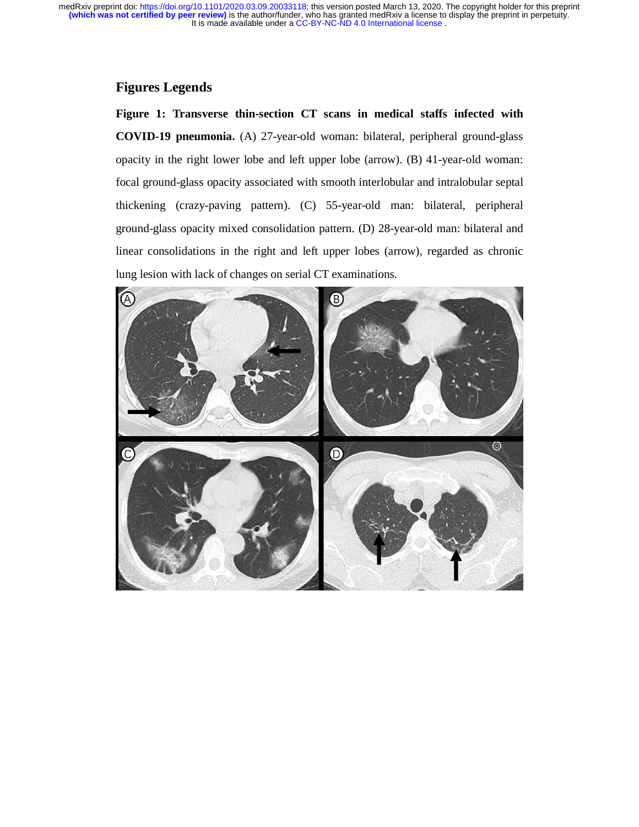## **Figures Legends**

**Figure 1: Transverse thin-section CT scans in medical staffs infected with COVID-19 pneumonia.** (A) 27-year-old woman: bilateral, peripheral ground-glass opacity in the right lower lobe and left upper lobe (arrow). (B) 41-year-old woman: focal ground-glass opacity associated with smooth interlobular and intralobular septal thickening (crazy-paving pattern). (C) 55-year-old man: bilateral, peripheral ground-glass opacity mixed consolidation pattern. (D) 28-year-old man: bilateral and linear consolidations in the right and left upper lobes (arrow), regarded as chronic lung lesion with lack of changes on serial CT examinations.

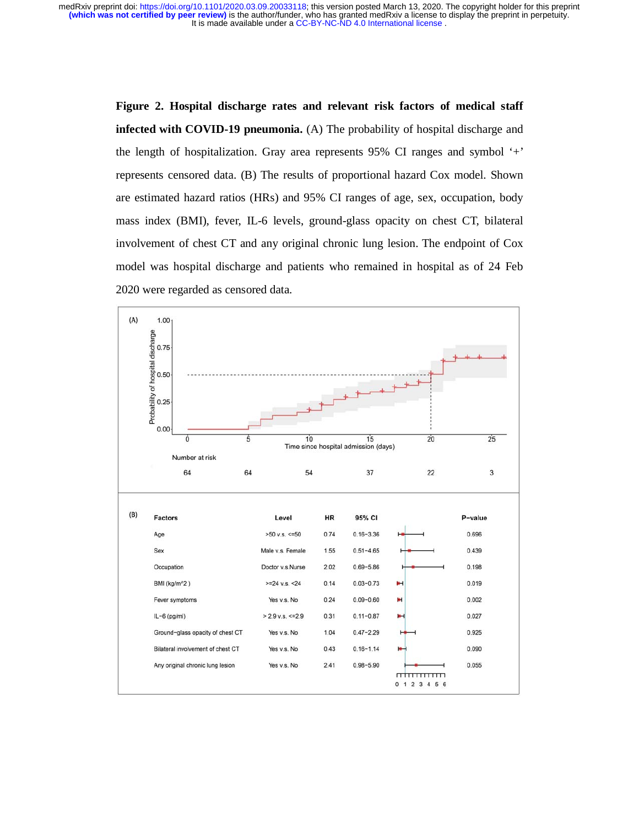> **Figure 2. Hospital discharge rates and relevant risk factors of medical staff infected with COVID-19 pneumonia.** (A) The probability of hospital discharge and the length of hospitalization. Gray area represents 95% CI ranges and symbol '+' represents censored data. (B) The results of proportional hazard Cox model. Shown are estimated hazard ratios (HRs) and 95% CI ranges of age, sex, occupation, body mass index (BMI), fever, IL-6 levels, ground-glass opacity on chest CT, bilateral involvement of chest CT and any original chronic lung lesion. The endpoint of Cox model was hospital discharge and patients who remained in hospital as of 24 Feb 2020 were regarded as censored data.

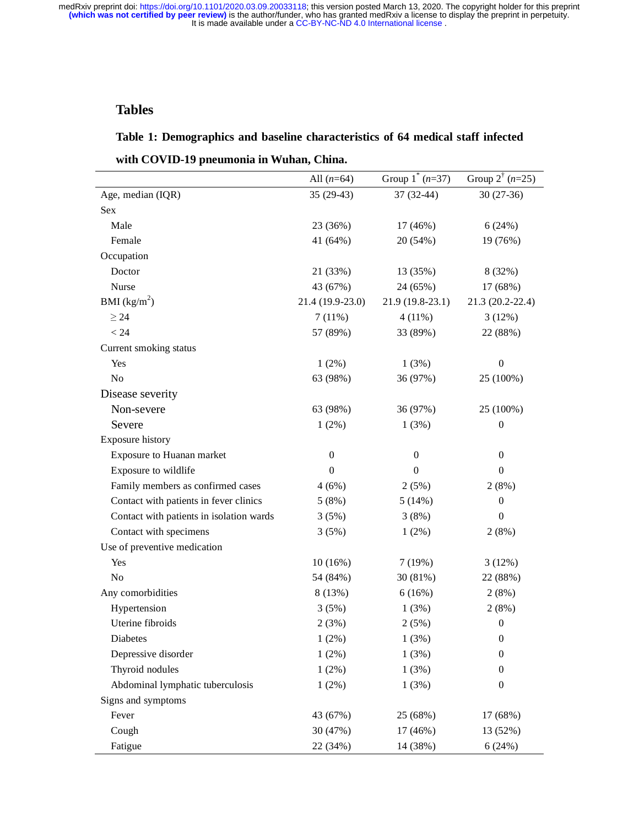# **Tables**

## **Table 1: Demographics and baseline characteristics of 64 medical staff infected**

| with COVID-19 pneumonia in Wuhan, China. |  |  |  |  |  |
|------------------------------------------|--|--|--|--|--|
|------------------------------------------|--|--|--|--|--|

|                                          | All $(n=64)$     | Group $1^*(n=37)$ | Group $2^{t}$ ( <i>n</i> =25) |
|------------------------------------------|------------------|-------------------|-------------------------------|
| Age, median (IQR)                        | $35(29-43)$      | 37 (32-44)        | 30 (27-36)                    |
| Sex                                      |                  |                   |                               |
| Male                                     | 23 (36%)         | 17 (46%)          | 6(24%)                        |
| Female                                   | 41 (64%)         | 20 (54%)          | 19 (76%)                      |
| Occupation                               |                  |                   |                               |
| Doctor                                   | 21 (33%)         | 13 (35%)          | 8 (32%)                       |
| Nurse                                    | 43 (67%)         | 24 (65%)          | 17 (68%)                      |
| BMI $(kg/m^2)$                           | 21.4 (19.9-23.0) | $21.9(19.8-23.1)$ | 21.3 (20.2-22.4)              |
| $\geq$ 24                                | 7(11%)           | $4(11\%)$         | 3(12%)                        |
| < 24                                     | 57 (89%)         | 33 (89%)          | 22 (88%)                      |
| Current smoking status                   |                  |                   |                               |
| Yes                                      | 1(2%)            | 1(3%)             | $\boldsymbol{0}$              |
| No                                       | 63 (98%)         | 36 (97%)          | 25 (100%)                     |
| Disease severity                         |                  |                   |                               |
| Non-severe                               | 63 (98%)         | 36 (97%)          | 25 (100%)                     |
| Severe                                   | 1(2%)            | 1(3%)             | $\boldsymbol{0}$              |
| Exposure history                         |                  |                   |                               |
| Exposure to Huanan market                | $\boldsymbol{0}$ | $\boldsymbol{0}$  | $\boldsymbol{0}$              |
| Exposure to wildlife                     | $\boldsymbol{0}$ | $\boldsymbol{0}$  | $\boldsymbol{0}$              |
| Family members as confirmed cases        | 4(6%)            | 2(5%)             | 2(8%)                         |
| Contact with patients in fever clinics   | 5(8%)            | 5(14%)            | $\boldsymbol{0}$              |
| Contact with patients in isolation wards | 3(5%)            | 3(8%)             | $\boldsymbol{0}$              |
| Contact with specimens                   | 3(5%)            | $1(2\%)$          | 2(8%)                         |
| Use of preventive medication             |                  |                   |                               |
| Yes                                      | 10(16%)          | 7(19%)            | 3(12%)                        |
| No                                       | 54 (84%)         | 30 (81%)          | 22 (88%)                      |
| Any comorbidities                        | 8(13%)           | 6(16%)            | 2(8%)                         |
| Hypertension                             | 3(5%)            | 1(3%)             | 2(8%)                         |
| Uterine fibroids                         | 2(3%)            | 2(5%)             | $\boldsymbol{0}$              |
| Diabetes                                 | 1(2%)            | 1(3%)             | $\boldsymbol{0}$              |
| Depressive disorder                      | 1(2%)            | 1(3%)             | $\boldsymbol{0}$              |
| Thyroid nodules                          | 1(2%)            | 1(3%)             | $\theta$                      |
| Abdominal lymphatic tuberculosis         | 1(2%)            | 1(3%)             | $\boldsymbol{0}$              |
| Signs and symptoms                       |                  |                   |                               |
| Fever                                    | 43 (67%)         | 25 (68%)          | 17 (68%)                      |
| Cough                                    | 30 (47%)         | 17 (46%)          | 13 (52%)                      |
| Fatigue                                  | 22 (34%)         | 14 (38%)          | 6(24%)                        |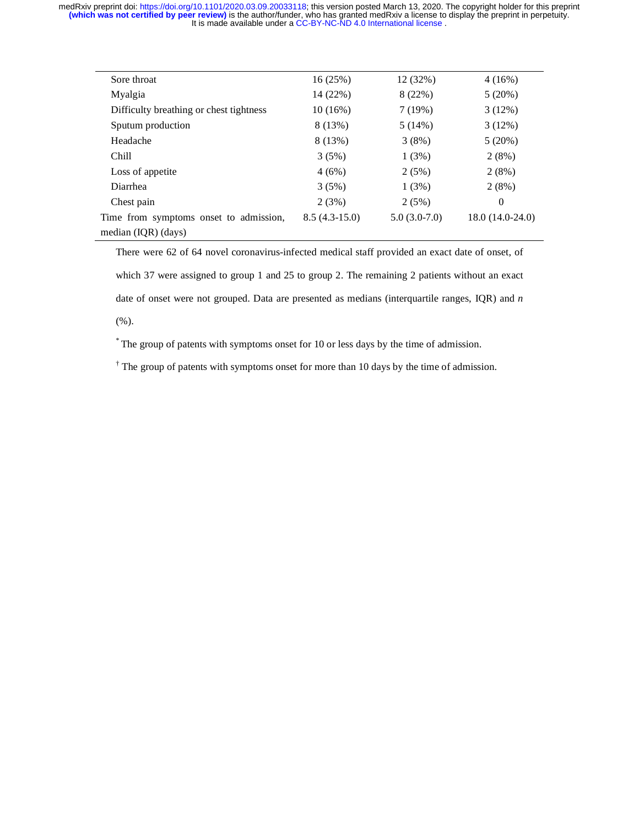| Sore throat                             | 16(25%)         | 12(32%)        | $4(16\%)$         |
|-----------------------------------------|-----------------|----------------|-------------------|
| Myalgia                                 | 14 (22%)        | 8(22%)         | 5(20%)            |
| Difficulty breathing or chest tightness | $10(16\%)$      | 7(19%)         | 3(12%)            |
| Sputum production                       | 8(13%)          | 5(14%)         | 3(12%)            |
| Headache                                | 8 (13%)         | 3(8%)          | 5(20%)            |
| Chill                                   | 3(5%)           | 1(3%)          | 2(8%)             |
| Loss of appetite                        | 4(6%)           | 2(5%)          | 2(8%)             |
| Diarrhea                                | 3(5%)           | 1(3%)          | 2(8%)             |
| Chest pain                              | 2(3%)           | 2(5%)          | $\theta$          |
| Time from symptoms onset to admission,  | $8.5(4.3-15.0)$ | $5.0(3.0-7.0)$ | $18.0(14.0-24.0)$ |
| median (IQR) (days)                     |                 |                |                   |

There were 62 of 64 novel coronavirus-infected medical staff provided an exact date of onset, of which 37 were assigned to group 1 and 25 to group 2. The remaining 2 patients without an exact date of onset were not grouped. Data are presented as medians (interquartile ranges, IQR) and *n* (%).

\* The group of patents with symptoms onset for 10 or less days by the time of admission.

<sup>†</sup> The group of patents with symptoms onset for more than 10 days by the time of admission.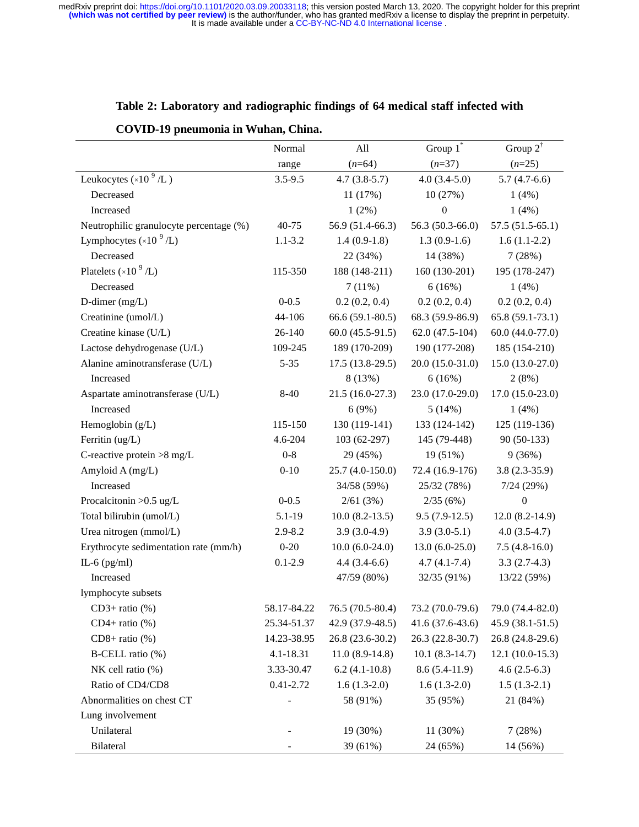|                                          | Normal        | All                 | Group $1^*$       | Group $2^{\dagger}$ |
|------------------------------------------|---------------|---------------------|-------------------|---------------------|
|                                          | range         | $(n=64)$            | $(n=37)$          | $(n=25)$            |
| Leukocytes $(\times 10^9$ /L $)$         | $3.5 - 9.5$   | $4.7(3.8-5.7)$      | $4.0(3.4-5.0)$    | $5.7(4.7-6.6)$      |
| Decreased                                |               | 11 (17%)            | 10 (27%)          | $1(4\%)$            |
| Increased                                |               | $1(2\%)$            | $\boldsymbol{0}$  | 1(4%)               |
| Neutrophilic granulocyte percentage (%)  | 40-75         | 56.9 (51.4-66.3)    | 56.3 (50.3-66.0)  | $57.5(51.5-65.1)$   |
| Lymphocytes $(\times 10^{-9}$ /L)        | $1.1 - 3.2$   | $1.4(0.9-1.8)$      | $1.3(0.9-1.6)$    | $1.6(1.1-2.2)$      |
| Decreased                                |               | 22 (34%)            | 14 (38%)          | 7(28%)              |
| Platelets ( $\times$ 10 <sup>9</sup> /L) | 115-350       | 188 (148-211)       | 160 (130-201)     | 195 (178-247)       |
| Decreased                                |               | 7(11%)              | 6(16%)            | 1(4%)               |
| D-dimer (mg/L)                           | $0 - 0.5$     | 0.2(0.2, 0.4)       | 0.2(0.2, 0.4)     | 0.2(0.2, 0.4)       |
| Creatinine (umol/L)                      | 44-106        | $66.6(59.1-80.5)$   | 68.3 (59.9-86.9)  | $65.8(59.1-73.1)$   |
| Creatine kinase (U/L)                    | 26-140        | $60.0(45.5-91.5)$   | $62.0(47.5-104)$  | $60.0(44.0-77.0)$   |
| Lactose dehydrogenase (U/L)              | 109-245       | 189 (170-209)       | 190 (177-208)     | 185 (154-210)       |
| Alanine aminotransferase (U/L)           | $5 - 35$      | $17.5(13.8-29.5)$   | $20.0(15.0-31.0)$ | $15.0(13.0-27.0)$   |
| Increased                                |               | 8 (13%)             | 6(16%)            | 2(8%)               |
| Aspartate aminotransferase (U/L)         | 8-40          | $21.5(16.0-27.3)$   | 23.0 (17.0-29.0)  | $17.0(15.0-23.0)$   |
| Increased                                |               | 6(9%)               | 5(14%)            | 1(4%)               |
| Hemoglobin (g/L)                         | 115-150       | 130 (119-141)       | 133 (124-142)     | 125 (119-136)       |
| Ferritin (ug/L)                          | 4.6-204       | 103 (62-297)        | 145 (79-448)      | 90 (50-133)         |
| C-reactive protein $>8$ mg/L             | $0-8$         | 29 (45%)            | 19 (51%)          | 9(36%)              |
| Amyloid A (mg/L)                         | $0 - 10$      | 25.7 (4.0-150.0)    | 72.4 (16.9-176)   | $3.8(2.3-35.9)$     |
| Increased                                |               | 34/58 (59%)         | 25/32 (78%)       | 7/24(29%)           |
| Procalcitonin $>0.5$ ug/L                | $0 - 0.5$     | 2/61(3%)            | 2/35(6%)          | $\boldsymbol{0}$    |
| Total bilirubin (umol/L)                 | $5.1 - 19$    | $10.0 (8.2 - 13.5)$ | $9.5(7.9-12.5)$   | $12.0(8.2-14.9)$    |
| Urea nitrogen (mmol/L)                   | 2.9-8.2       | $3.9(3.0-4.9)$      | $3.9(3.0-5.1)$    | $4.0(3.5-4.7)$      |
| Erythrocyte sedimentation rate (mm/h)    | $0 - 20$      | $10.0(6.0-24.0)$    | $13.0(6.0-25.0)$  | $7.5(4.8-16.0)$     |
| IL-6 $(pg/ml)$                           | $0.1 - 2.9$   | $4.4(3.4-6.6)$      | $4.7(4.1 - 7.4)$  | $3.3(2.7-4.3)$      |
| Increased                                |               | 47/59 (80%)         | 32/35 (91%)       | 13/22 (59%)         |
| lymphocyte subsets                       |               |                     |                   |                     |
| $CD3+ ratio (%)$                         | 58.17-84.22   | 76.5 (70.5-80.4)    | 73.2 (70.0-79.6)  | 79.0 (74.4-82.0)    |
| $CD4+ ratio (%)$                         | 25.34-51.37   | 42.9 (37.9-48.5)    | 41.6 (37.6-43.6)  | 45.9 (38.1-51.5)    |
| $CD8+$ ratio (%)                         | 14.23-38.95   | 26.8 (23.6-30.2)    | 26.3 (22.8-30.7)  | 26.8 (24.8-29.6)    |
| B-CELL ratio (%)                         | 4.1-18.31     | $11.0(8.9-14.8)$    | $10.1(8.3-14.7)$  | $12.1(10.0-15.3)$   |
| NK cell ratio $(\% )$                    | 3.33-30.47    | $6.2(4.1-10.8)$     | $8.6(5.4-11.9)$   | $4.6(2.5-6.3)$      |
| Ratio of CD4/CD8                         | $0.41 - 2.72$ | $1.6(1.3-2.0)$      | $1.6(1.3-2.0)$    | $1.5(1.3-2.1)$      |
| Abnormalities on chest CT                |               | 58 (91%)            | 35 (95%)          | 21 (84%)            |
| Lung involvement                         |               |                     |                   |                     |
| Unilateral                               |               | 19 (30%)            | 11 (30%)          | 7(28%)              |
| <b>Bilateral</b>                         |               | 39 (61%)            | 24 (65%)          | 14 (56%)            |

# **Table 2: Laboratory and radiographic findings of 64 medical staff infected with**

## **COVID-19 pneumonia in Wuhan, China.**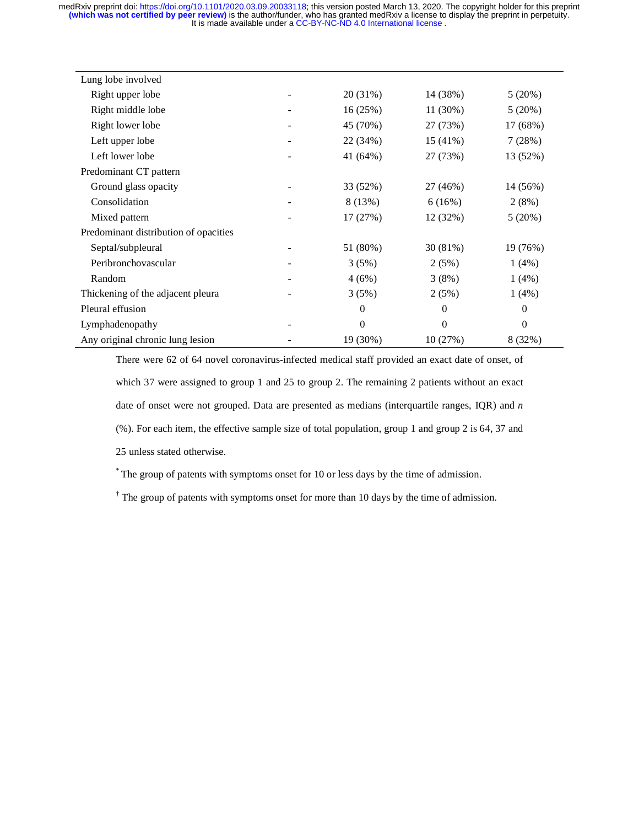| Lung lobe involved                    |          |          |          |
|---------------------------------------|----------|----------|----------|
| Right upper lobe                      | 20 (31%) | 14 (38%) | 5(20%)   |
| Right middle lobe                     | 16(25%)  | 11 (30%) | 5(20%)   |
| Right lower lobe                      | 45 (70%) | 27 (73%) | 17 (68%) |
| Left upper lobe                       | 22 (34%) | 15 (41%) | 7(28%)   |
| Left lower lobe                       | 41 (64%) | 27 (73%) | 13 (52%) |
| Predominant CT pattern                |          |          |          |
| Ground glass opacity                  | 33 (52%) | 27 (46%) | 14 (56%) |
| Consolidation                         | 8 (13%)  | 6(16%)   | 2(8%)    |
| Mixed pattern                         | 17 (27%) | 12 (32%) | 5(20%)   |
| Predominant distribution of opacities |          |          |          |
| Septal/subpleural                     | 51 (80%) | 30 (81%) | 19 (76%) |
| Peribronchovascular                   | 3(5%)    | 2(5%)    | 1(4%)    |
| Random                                | 4(6%)    | 3(8%)    | 1(4%)    |
| Thickening of the adjacent pleura     | 3(5%)    | 2(5%)    | 1(4%)    |
| Pleural effusion                      | $\theta$ | $\theta$ | $\Omega$ |
| Lymphadenopathy                       | $\Omega$ | $\Omega$ | $\Omega$ |
| Any original chronic lung lesion      | 19 (30%) | 10(27%)  | 8 (32%)  |

There were 62 of 64 novel coronavirus-infected medical staff provided an exact date of onset, of which 37 were assigned to group 1 and 25 to group 2. The remaining 2 patients without an exact date of onset were not grouped. Data are presented as medians (interquartile ranges, IQR) and *n* (%). For each item, the effective sample size of total population, group 1 and group 2 is 64, 37 and 25 unless stated otherwise.

\* The group of patents with symptoms onset for 10 or less days by the time of admission.

<sup>†</sup> The group of patents with symptoms onset for more than 10 days by the time of admission.